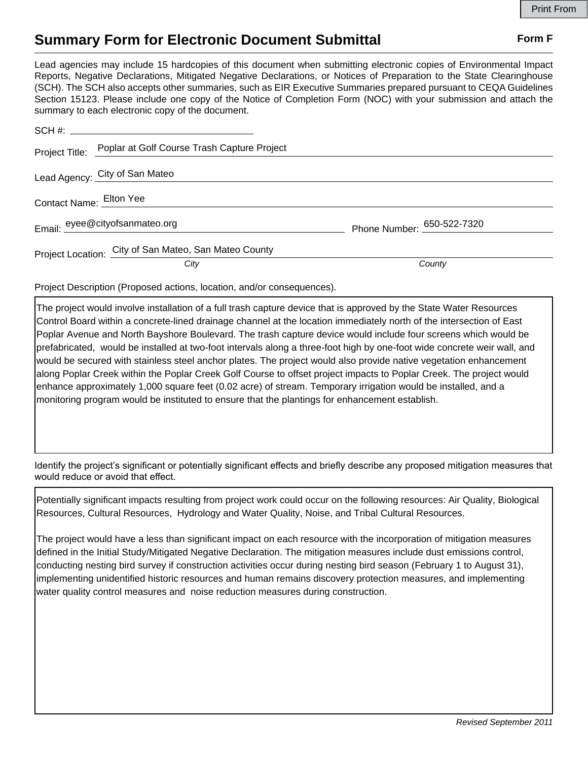## **Summary Form for Electronic Document Submittal Form F Form F**

Lead agencies may include 15 hardcopies of this document when submitting electronic copies of Environmental Impact Reports, Negative Declarations, Mitigated Negative Declarations, or Notices of Preparation to the State Clearinghouse (SCH). The SCH also accepts other summaries, such as EIR Executive Summaries prepared pursuant to CEQA Guidelines Section 15123. Please include one copy of the Notice of Completion Form (NOC) with your submission and attach the summary to each electronic copy of the document.

|                         | Project Title: Poplar at Golf Course Trash Capture Project |                            |
|-------------------------|------------------------------------------------------------|----------------------------|
|                         | Lead Agency: City of San Mateo                             |                            |
| Contact Name: Elton Yee |                                                            |                            |
|                         | Email: eyee@cityofsanmateo.org                             | Phone Number: 650-522-7320 |
|                         | Project Location: City of San Mateo, San Mateo County      |                            |
|                         | City                                                       | County                     |

Project Description (Proposed actions, location, and/or consequences).

The project would involve installation of a full trash capture device that is approved by the State Water Resources Control Board within a concrete-lined drainage channel at the location immediately north of the intersection of East Poplar Avenue and North Bayshore Boulevard. The trash capture device would include four screens which would be prefabricated, would be installed at two-foot intervals along a three-foot high by one-foot wide concrete weir wall, and would be secured with stainless steel anchor plates. The project would also provide native vegetation enhancement along Poplar Creek within the Poplar Creek Golf Course to offset project impacts to Poplar Creek. The project would enhance approximately 1,000 square feet (0.02 acre) of stream. Temporary irrigation would be installed, and a monitoring program would be instituted to ensure that the plantings for enhancement establish.

Identify the project's significant or potentially significant effects and briefly describe any proposed mitigation measures that would reduce or avoid that effect.

Potentially significant impacts resulting from project work could occur on the following resources: Air Quality, Biological Resources, Cultural Resources, Hydrology and Water Quality, Noise, and Tribal Cultural Resources.

The project would have a less than significant impact on each resource with the incorporation of mitigation measures defined in the Initial Study/Mitigated Negative Declaration. The mitigation measures include dust emissions control, conducting nesting bird survey if construction activities occur during nesting bird season (February 1 to August 31), implementing unidentified historic resources and human remains discovery protection measures, and implementing water quality control measures and noise reduction measures during construction.